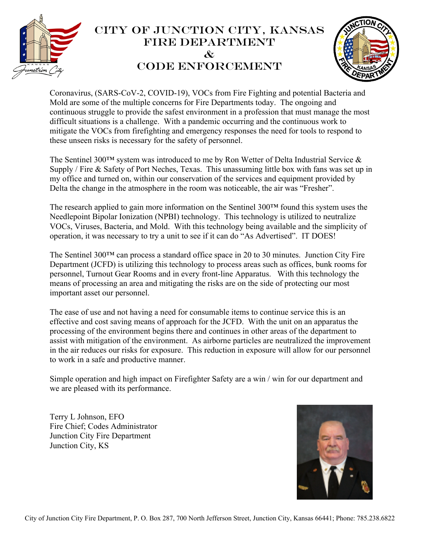

## City of Junction City, Kansas Fire Department  $\mathcal{X}$ CODE ENFORCEMENT



Coronavirus, (SARS-CoV-2, COVID-19), VOCs from Fire Fighting and potential Bacteria and Mold are some of the multiple concerns for Fire Departments today. The ongoing and continuous struggle to provide the safest environment in a profession that must manage the most difficult situations is a challenge. With a pandemic occurring and the continuous work to mitigate the VOCs from firefighting and emergency responses the need for tools to respond to these unseen risks is necessary for the safety of personnel.

The Sentinel 300™ system was introduced to me by Ron Wetter of Delta Industrial Service & Supply / Fire & Safety of Port Neches, Texas. This unassuming little box with fans was set up in my office and turned on, within our conservation of the services and equipment provided by Delta the change in the atmosphere in the room was noticeable, the air was "Fresher".

The research applied to gain more information on the Sentinel 300™ found this system uses the Needlepoint Bipolar Ionization (NPBI) technology. This technology is utilized to neutralize VOCs, Viruses, Bacteria, and Mold. With this technology being available and the simplicity of operation, it was necessary to try a unit to see if it can do "As Advertised". IT DOES!

The Sentinel  $300<sup>TM</sup>$  can process a standard office space in 20 to 30 minutes. Junction City Fire Department (JCFD) is utilizing this technology to process areas such as offices, bunk rooms for personnel, Turnout Gear Rooms and in every front-line Apparatus. With this technology the means of processing an area and mitigating the risks are on the side of protecting our most important asset our personnel.

The ease of use and not having a need for consumable items to continue service this is an effective and cost saving means of approach for the JCFD. With the unit on an apparatus the processing of the environment begins there and continues in other areas of the department to assist with mitigation of the environment. As airborne particles are neutralized the improvement in the air reduces our risks for exposure. This reduction in exposure will allow for our personnel to work in a safe and productive manner.

Simple operation and high impact on Firefighter Safety are a win / win for our department and we are pleased with its performance.

Terry L Johnson, EFO Fire Chief; Codes Administrator Junction City Fire Department Junction City, KS